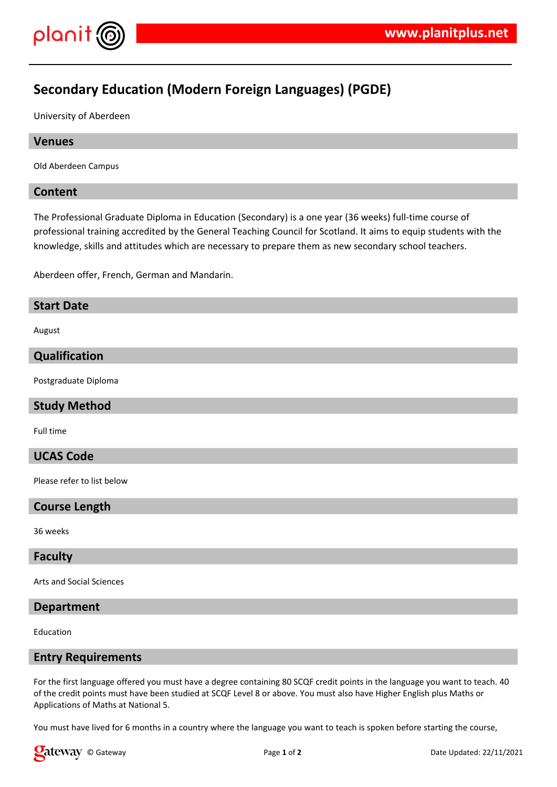

# **Secondary Education (Modern Foreign Languages) (PGDE)**

University of Aberdeen

# **Venues**

Old Aberdeen Campus

# **Content**

The Professional Graduate Diploma in Education (Secondary) is a one year (36 weeks) full-time course of professional training accredited by the General Teaching Council for Scotland. It aims to equip students with the knowledge, skills and attitudes which are necessary to prepare them as new secondary school teachers.

Aberdeen offer, French, German and Mandarin.

# **Start Date**

August

### **Qualification**

Postgraduate Diploma

#### **Study Method**

Full time

# **UCAS Code**

Please refer to list below

#### **Course Length**

36 weeks

# **Faculty**

Arts and Social Sciences

## **Department**

Education

#### **Entry Requirements**

For the first language offered you must have a degree containing 80 SCQF credit points in the language you want to teach. 40 of the credit points must have been studied at SCQF Level 8 or above. You must also have Higher English plus Maths or Applications of Maths at National 5.

You must have lived for 6 months in a country where the language you want to teach is spoken before starting the course,